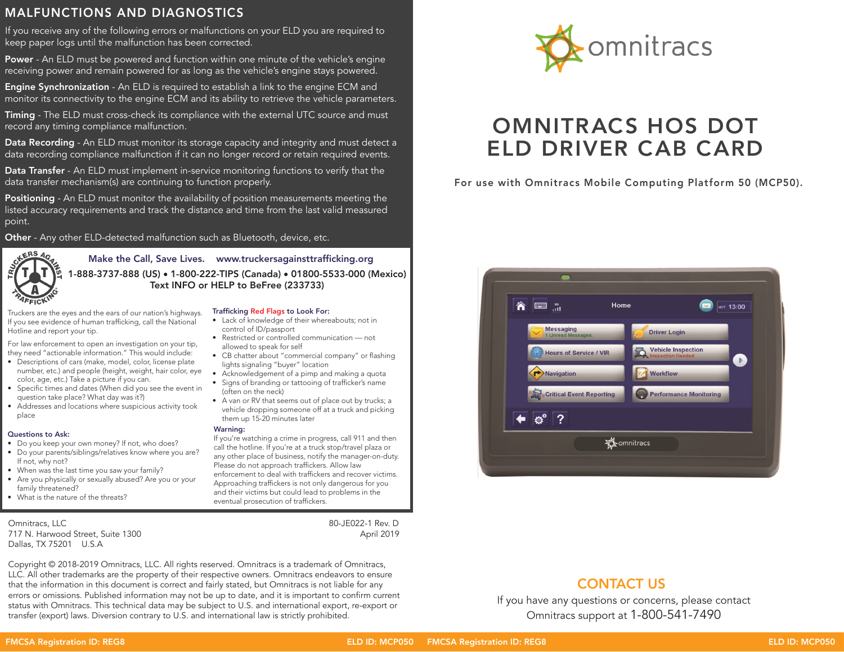## MALFUNCTIONS AND DIAGNOSTICS

If you receive any of the following errors or malfunctions on your ELD you are required to keep paper logs until the malfunction has been corrected.

Power - An ELD must be powered and function within one minute of the vehicle's engine receiving power and remain powered for as long as the vehicle's engine stays powered.

**Engine Synchronization** - An ELD is required to establish a link to the engine ECM and monitor its connectivity to the engine ECM and its ability to retrieve the vehicle parameters.

Timing - The ELD must cross-check its compliance with the external UTC source and must record any timing compliance malfunction.

Data Recording - An ELD must monitor its storage capacity and integrity and must detect a data recording compliance malfunction if it can no longer record or retain required events.

Data Transfer - An ELD must implement in-service monitoring functions to verify that the data transfer mechanism(s) are continuing to function properly.

**Positioning** - An ELD must monitor the availability of position measurements meeting the listed accuracy requirements and track the distance and time from the last valid measured point.

Other - Any other ELD-detected malfunction such as Bluetooth, device, etc.



Make the Call, Save Lives. www.truckersagainsttrafficking.org 1-888-3737-888 (US) • 1-800-222-TIPS (Canada) • 01800-5533-000 (Mexico) Text INFO or HELP to BeFree (233733)

Truckers are the eyes and the ears of our nation's highways. If you see evidence of human trafficking, call the National Hotline and report your tip.

For law enforcement to open an investigation on your tip, they need "actionable information." This would include:

- Descriptions of cars (make, model, color, license plate number, etc.) and people (height, weight, hair color, eye color, age, etc.) Take a picture if you can.
- Specific times and dates (When did you see the event in question take place? What day was it?)
- Addresses and locations where suspicious activity took place

### Questions to Ask:

- Do you keep your own money? If not, who does? • Do your parents/siblings/relatives know where you are?
- If not, why not?
- When was the last time you saw your family?
- Are you physically or sexually abused? Are you or your family threatened?
- What is the nature of the threats?

Omnitracs, LLC 80-JE022-1 Rev. D 717 N. Harwood Street, Suite 1300 Dallas, TX 75201 U.S.A

## Trafficking Red Flags to Look For:

- Lack of knowledge of their whereabouts; not in control of ID/passport
- Restricted or controlled communication not allowed to speak for self
- CB chatter about "commercial company" or flashing lights signaling "buyer" location
- Acknowledgement of a pimp and making a quota
- Signs of branding or tattooing of trafficker's name (often on the neck)
- A van or RV that seems out of place out by trucks; a vehicle dropping someone off at a truck and picking them up 15-20 minutes later

### Warning:

If you're watching a crime in progress, call 911 and then call the hotline. If you're at a truck stop/travel plaza or any other place of business, notify the manager-on-duty. Please do not approach traffickers. Allow law enforcement to deal with traffickers and recover victims. Approaching traffickers is not only dangerous for you and their victims but could lead to problems in the eventual prosecution of traffickers.

Copyright © 2018-2019 Omnitracs, LLC. All rights reserved. Omnitracs is a trademark of Omnitracs, LLC. All other trademarks are the property of their respective owners. Omnitracs endeavors to ensure that the information in this document is correct and fairly stated, but Omnitracs is not liable for any errors or omissions. Published information may not be up to date, and it is important to confirm current status with Omnitracs. This technical data may be subject to U.S. and international export, re-export or transfer (export) laws. Diversion contrary to U.S. and international law is strictly prohibited.



# OMNITRACS HOS DOT ELD DRIVER CAB CARD

For use with Omnitracs Mobile Computing Platform 50 (MCP50).



## CONTACT US

If you have any questions or concerns, please contact Omnitracs support at 1-800-541-7490